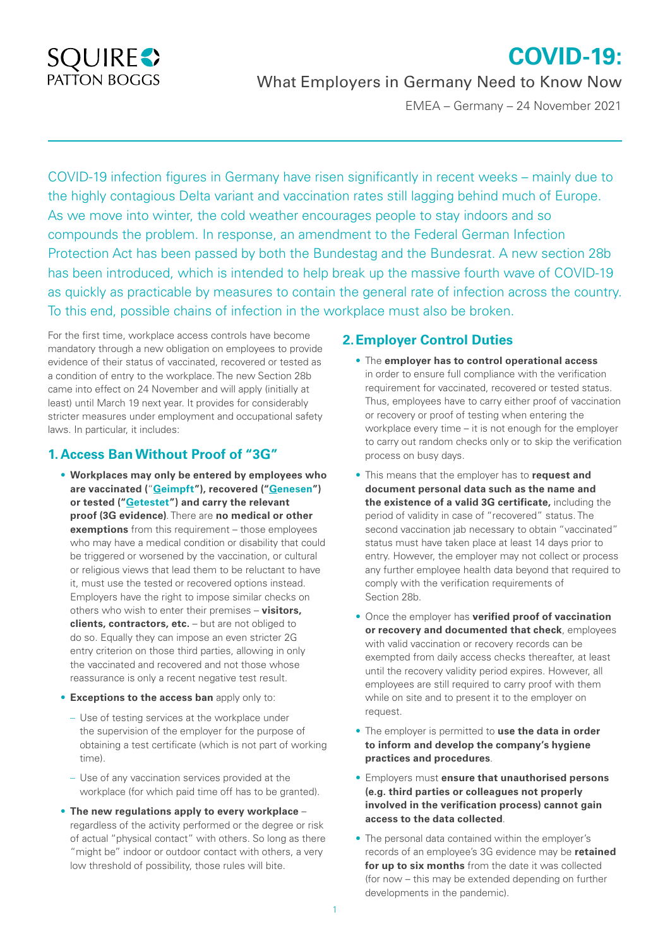# **SQUIRES** PATTON BOGGS

# What Employers in Germany Need to Know Now

EMEA – Germany – 24 November 2021

**COVID-19:**

COVID-19 infection figures in Germany have risen significantly in recent weeks – mainly due to the highly contagious Delta variant and vaccination rates still lagging behind much of Europe. As we move into winter, the cold weather encourages people to stay indoors and so compounds the problem. In response, an amendment to the Federal German Infection Protection Act has been passed by both the Bundestag and the Bundesrat. A new section 28b has been introduced, which is intended to help break up the massive fourth wave of COVID-19 as quickly as practicable by measures to contain the general rate of infection across the country. To this end, possible chains of infection in the workplace must also be broken.

For the first time, workplace access controls have become mandatory through a new obligation on employees to provide evidence of their status of vaccinated, recovered or tested as a condition of entry to the workplace. The new Section 28b came into effect on 24 November and will apply (initially at least) until March 19 next year. It provides for considerably stricter measures under employment and occupational safety laws. In particular, it includes:

# **1. Access Ban Without Proof of "3G"**

- **Workplaces may only be entered by employees who are vaccinated (**"**Geimpft"), recovered ("Genesen") or tested ("Getestet") and carry the relevant proof (3G evidence)**. There are **no medical or other exemptions** from this requirement – those employees who may have a medical condition or disability that could be triggered or worsened by the vaccination, or cultural or religious views that lead them to be reluctant to have it, must use the tested or recovered options instead. Employers have the right to impose similar checks on others who wish to enter their premises – **visitors, clients, contractors, etc.** – but are not obliged to do so. Equally they can impose an even stricter 2G entry criterion on those third parties, allowing in only the vaccinated and recovered and not those whose reassurance is only a recent negative test result.
- **Exceptions to the access ban** apply only to:
	- Use of testing services at the workplace under the supervision of the employer for the purpose of obtaining a test certificate (which is not part of working time).
	- Use of any vaccination services provided at the workplace (for which paid time off has to be granted).
- **The new regulations apply to every workplace** regardless of the activity performed or the degree or risk of actual "physical contact" with others. So long as there "might be" indoor or outdoor contact with others, a very low threshold of possibility, those rules will bite.

# **2.Employer Control Duties**

- The **employer has to control operational access** in order to ensure full compliance with the verification requirement for vaccinated, recovered or tested status. Thus, employees have to carry either proof of vaccination or recovery or proof of testing when entering the workplace every time – it is not enough for the employer to carry out random checks only or to skip the verification process on busy days.
- This means that the employer has to **request and document personal data such as the name and the existence of a valid 3G certificate,** including the period of validity in case of "recovered" status. The second vaccination jab necessary to obtain "vaccinated" status must have taken place at least 14 days prior to entry. However, the employer may not collect or process any further employee health data beyond that required to comply with the verification requirements of Section 28b.
- Once the employer has **verified proof of vaccination or recovery and documented that check**, employees with valid vaccination or recovery records can be exempted from daily access checks thereafter, at least until the recovery validity period expires. However, all employees are still required to carry proof with them while on site and to present it to the employer on request.
- The employer is permitted to **use the data in order to inform and develop the company's hygiene practices and procedures**.
- Employers must **ensure that unauthorised persons (e.g. third parties or colleagues not properly involved in the verification process) cannot gain access to the data collected**.
- The personal data contained within the employer's records of an employee's 3G evidence may be **retained for up to six months** from the date it was collected (for now – this may be extended depending on further developments in the pandemic).